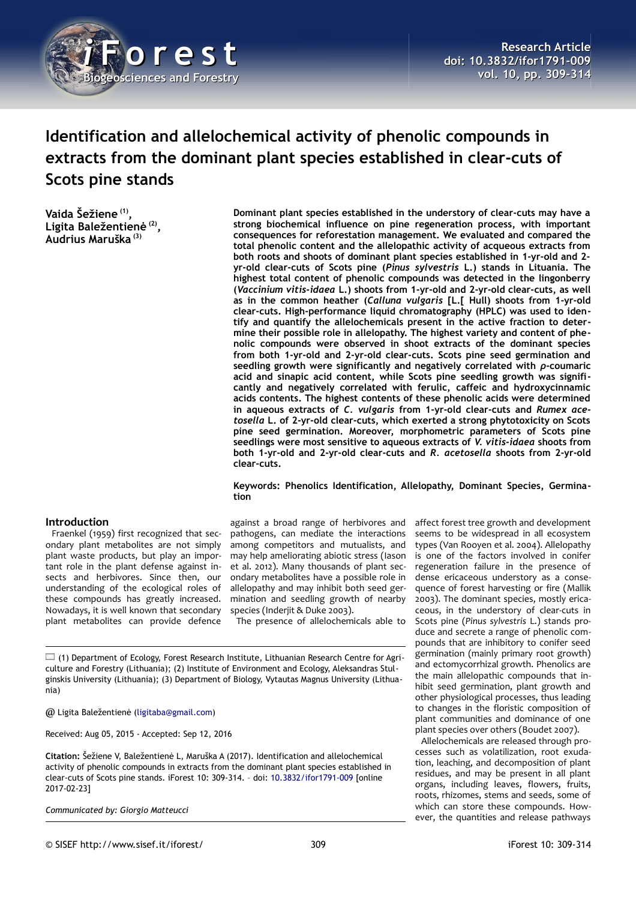

# **Identification and allelochemical activity of phenolic compounds in extracts from the dominant plant species established in clear-cuts of Scots pine stands**

**Vaida Šežiene (1) , Ligita Baležentienė (2) , Audrius Maruška (3)**

**Dominant plant species established in the understory of clear-cuts may have a strong biochemical influence on pine regeneration process, with important consequences for reforestation management. We evaluated and compared the total phenolic content and the allelopathic activity of acqueous extracts from both roots and shoots of dominant plant species established in 1-yr-old and 2 yr-old clear-cuts of Scots pine (***Pinus sylvestris* **L.) stands in Lituania. The highest total content of phenolic compounds was detected in the lingonberry (***Vaccinium vitis-idaea* **L.) shoots from 1-yr-old and 2-yr-old clear-cuts, as well as in the common heather (***Calluna vulgaris* **[L.[ Hull) shoots from 1-yr-old clear-cuts. High-performance liquid chromatography (HPLC) was used to identify and quantify the allelochemicals present in the active fraction to determine their possible role in allelopathy. The highest variety and content of phenolic compounds were observed in shoot extracts of the dominant species from both 1-yr-old and 2-yr-old clear-cuts. Scots pine seed germination and seedling growth were significantly and negatively correlated with** *ρ***-coumaric acid and sinapic acid content, while Scots pine seedling growth was significantly and negatively correlated with ferulic, caffeic and hydroxycinnamic acids contents. The highest contents of these phenolic acids were determined in aqueous extracts of** *C. vulgaris* **from 1-yr-old clear-cuts and** *Rumex acetosella* **L. of 2-yr-old clear-cuts, which exerted a strong phytotoxicity on Scots pine seed germination. Moreover, morphometric parameters of Scots pine seedlings were most sensitive to aqueous extracts of** *V. vitis-idaea* **shoots from both 1-yr-old and 2-yr-old clear-cuts and** *R. acetosella* **shoots from 2-yr-old clear-cuts.**

#### **Keywords: Phenolics Identification, Allelopathy, Dominant Species, Germination**

### **Introduction**

Fraenkel (1959) first recognized that secondary plant metabolites are not simply plant waste products, but play an important role in the plant defense against insects and herbivores. Since then, our understanding of the ecological roles of these compounds has greatly increased. Nowadays, it is well known that secondary plant metabolites can provide defence

against a broad range of herbivores and pathogens, can mediate the interactions among competitors and mutualists, and may help ameliorating abiotic stress (Iason et al. 2012). Many thousands of plant secondary metabolites have a possible role in allelopathy and may inhibit both seed germination and seedling growth of nearby species (Inderjit & Duke 2003).

The presence of allelochemicals able to

(1) Department of Ecology, Forest Research Institute, Lithuanian Research Centre for Agriculture and Forestry (Lithuania); (2) Institute of Environment and Ecology, Aleksandras Stulginskis University (Lithuania); (3) Department of Biology, Vytautas Magnus University (Lithuania)

@ Ligita Baležentienė [\(ligitaba@gmail.com\)](mailto:ligitaba@gmail.com)

Received: Aug 05, 2015 - Accepted: Sep 12, 2016

**Citation:** Šežiene V, Baležentienė L, Maruška A (2017). Identification and allelochemical activity of phenolic compounds in extracts from the dominant plant species established in clear-cuts of Scots pine stands. iForest 10: 309-314. – doi: [10.3832/ifor1791-009](http://www.sisef.it/iforest/contents/?id=ifor1791-009) [online 2017-02-23]

*Communicated by: Giorgio Matteucci*

seems to be widespread in all ecosystem types (Van Rooyen et al. 2004). Allelopathy is one of the factors involved in conifer

regeneration failure in the presence of dense ericaceous understory as a consequence of forest harvesting or fire (Mallik 2003). The dominant species, mostly ericaceous, in the understory of clear-cuts in Scots pine (*Pinus sylvestris* L.) stands produce and secrete a range of phenolic compounds that are inhibitory to conifer seed germination (mainly primary root growth) and ectomycorrhizal growth. Phenolics are the main allelopathic compounds that inhibit seed germination, plant growth and other physiological processes, thus leading to changes in the floristic composition of plant communities and dominance of one plant species over others (Boudet 2007).

affect forest tree growth and development

Allelochemicals are released through processes such as volatilization, root exudation, leaching, and decomposition of plant residues, and may be present in all plant organs, including leaves, flowers, fruits, roots, rhizomes, stems and seeds, some of which can store these compounds. However, the quantities and release pathways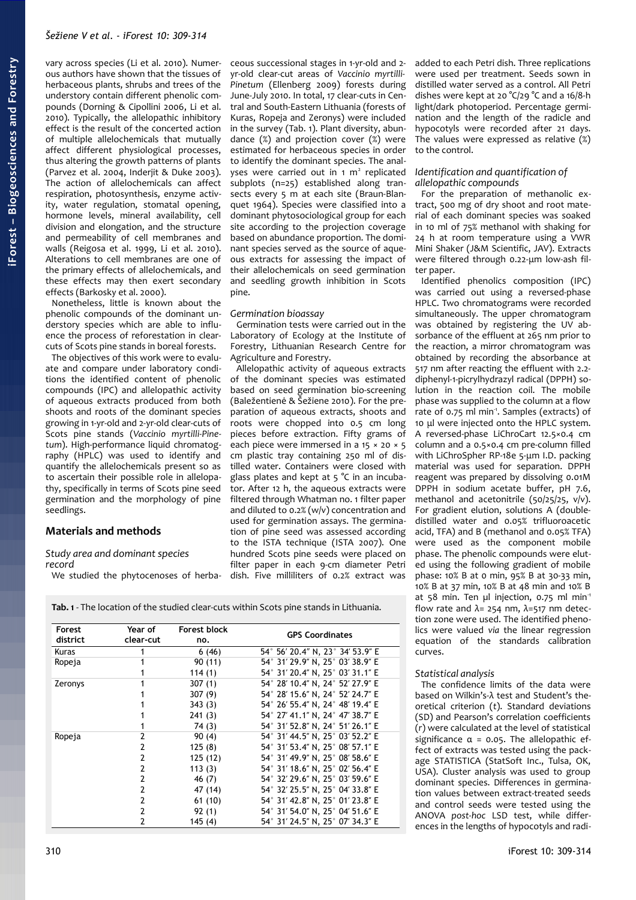vary across species (Li et al. 2010). Numerous authors have shown that the tissues of herbaceous plants, shrubs and trees of the understory contain different phenolic compounds (Dorning & Cipollini 2006, Li et al. 2010). Typically, the allelopathic inhibitory effect is the result of the concerted action of multiple allelochemicals that mutually affect different physiological processes, thus altering the growth patterns of plants (Parvez et al. 2004, Inderjit & Duke 2003). The action of allelochemicals can affect respiration, photosynthesis, enzyme activity, water regulation, stomatal opening, hormone levels, mineral availability, cell division and elongation, and the structure and permeability of cell membranes and walls (Reigosa et al. 1999, Li et al. 2010). Alterations to cell membranes are one of the primary effects of allelochemicals, and these effects may then exert secondary effects (Barkosky et al. 2000).

Nonetheless, little is known about the phenolic compounds of the dominant understory species which are able to influence the process of reforestation in clearcuts of Scots pine stands in boreal forests.

The objectives of this work were to evaluate and compare under laboratory conditions the identified content of phenolic compounds (IPC) and allelopathic activity of aqueous extracts produced from both shoots and roots of the dominant species growing in 1-yr-old and 2-yr-old clear-cuts of Scots pine stands (*Vaccinio myrtilli-Pinetum*). High-performance liquid chromatography (HPLC) was used to identify and quantify the allelochemicals present so as to ascertain their possible role in allelopathy, specifically in terms of Scots pine seed germination and the morphology of pine seedlings.

### **Materials and methods**

### *Study area and dominant species record*

We studied the phytocenoses of herba-

ceous successional stages in 1-yr-old and 2 yr-old clear-cut areas of *Vaccinio myrtilli-Pinetum* (Ellenberg 2009) forests during June-July 2010. In total, 17 clear-cuts in Central and South-Eastern Lithuania (forests of Kuras, Ropeja and Zeronys) were included in the survey [\(Tab. 1\)](#page-1-0). Plant diversity, abundance (%) and projection cover (%) were estimated for herbaceous species in order to identify the dominant species. The analyses were carried out in 1 m<sup>2</sup> replicated subplots (n=25) established along transects every 5 m at each site (Braun-Blanquet 1964). Species were classified into a dominant phytosociological group for each site according to the projection coverage based on abundance proportion. The dominant species served as the source of aqueous extracts for assessing the impact of their allelochemicals on seed germination and seedling growth inhibition in Scots pine.

### *Germination bioassay*

Germination tests were carried out in the Laboratory of Ecology at the Institute of Forestry, Lithuanian Research Centre for Agriculture and Forestry.

Allelopathic activity of aqueous extracts of the dominant species was estimated based on seed germination bio-screening (Baležentienė & Šežiene 2010). For the preparation of aqueous extracts, shoots and roots were chopped into 0.5 cm long pieces before extraction. Fifty grams of each piece were immersed in a  $15 \times 20 \times 5$ cm plastic tray containing 250 ml of distilled water. Containers were closed with glass plates and kept at 5 °C in an incubator. After 12 h, the aqueous extracts were filtered through Whatman no. 1 filter paper and diluted to 0.2% (w/v) concentration and used for germination assays. The germination of pine seed was assessed according to the ISTA technique (ISTA 2007). One hundred Scots pine seeds were placed on filter paper in each 9-cm diameter Petri dish. Five milliliters of 0.2% extract was

<span id="page-1-0"></span>**Tab. 1** - The location of the studied clear-cuts within Scots pine stands in Lithuania.

| Forest<br>district | Year of<br>clear-cut | <b>Forest block</b><br>no. | <b>GPS Coordinates</b>           |
|--------------------|----------------------|----------------------------|----------------------------------|
| Kuras              |                      | 6(46)                      | 54° 56′ 20.4″ N, 23° 34′ 53.9″ E |
| Ropeja             |                      | 90(11)                     | 54° 31' 29.9" N, 25° 03' 38.9" E |
|                    |                      | 114(1)                     | 54° 31' 20.4" N, 25° 03' 31.1" E |
| Zeronys            |                      | 307(1)                     | 54° 28′ 10.4″ N, 24° 52′ 27.9″ E |
|                    |                      | 307(9)                     | 54° 28′ 15.6″ N, 24° 52′ 24.7″ E |
|                    |                      | 343(3)                     | 54° 26' 55.4" N, 24° 48' 19.4" E |
|                    |                      | 241(3)                     | 54° 27′ 41.1″ N, 24° 47′ 38.7″ E |
|                    |                      | 74(3)                      | 54° 31' 52.8" N, 24° 51' 26.1" E |
| Ropeja             | 2                    | 90(4)                      | 54° 31′ 44.5″ N, 25° 03′ 52.2″ E |
|                    | 2                    | 125(8)                     | 54° 31' 53.4" N, 25° 08' 57.1" E |
|                    | 2                    | 125 (12)                   | 54° 31′ 49.9″ N, 25° 08′ 58.6″ E |
|                    | 2                    | 113(3)                     | 54° 31′ 18.6″ N, 25° 02′ 56.4″ E |
|                    | 2                    | 46 (7)                     | 54° 32′ 29.6″ N, 25° 03′ 59.6″ E |
|                    | 2                    | 47 (14)                    | 54° 32′ 25.5″ N, 25° 04′ 33.8″ E |
|                    | 2                    | 61(10)                     | 54° 31' 42.8" N, 25° 01' 23.8" E |
|                    | 2                    | 92(1)                      | 54° 31' 54.0" N, 25° 04' 51.6" E |
|                    | 2                    | 145(4)                     | 54° 31' 24.5" N, 25° 07' 34.3" E |

added to each Petri dish. Three replications were used per treatment. Seeds sown in distilled water served as a control. All Petri dishes were kept at 20 °C/29 °C and a 16/8-h light/dark photoperiod. Percentage germination and the length of the radicle and hypocotyls were recorded after 21 days. The values were expressed as relative (%) to the control.

### *Identification and quantification of allelopathic compounds*

For the preparation of methanolic extract, 500 mg of dry shoot and root material of each dominant species was soaked in 10 ml of 75% methanol with shaking for 24 h at room temperature using a VWR Mini Shaker (J&M Scientific, JAV). Extracts were filtered through 0.22-μm low-ash filter paper.

Identified phenolics composition (IPC) was carried out using a reversed-phase HPLC. Two chromatograms were recorded simultaneously. The upper chromatogram was obtained by registering the UV absorbance of the effluent at 265 nm prior to the reaction, a mirror chromatogram was obtained by recording the absorbance at 517 nm after reacting the effluent with 2.2 diphenyl-1-picrylhydrazyl radical (DPPH) solution in the reaction coil. The mobile phase was supplied to the column at a flow rate of 0.75 ml min<sup>1</sup>. Samples (extracts) of 10 μl were injected onto the HPLC system. A reversed-phase LiChroCart 12.5×0.4 cm column and a 0.5×0.4 cm pre-column filled with LiChroSpher RP-18e 5-μm I.D. packing material was used for separation. DPPH reagent was prepared by dissolving 0.01M DPPH in sodium acetate buffer, pH 7.6, methanol and acetonitrile (50/25/25, v/v). For gradient elution, solutions A (doubledistilled water and 0.05% trifluoroacetic acid, TFA) and B (methanol and 0.05% TFA) were used as the component mobile phase. The phenolic compounds were eluted using the following gradient of mobile phase: 10% B at 0 min, 95% B at 30-33 min, 10% B at 37 min, 10% B at 48 min and 10% B at 58 min. Ten ul injection,  $0.75$  ml min<sup>-1</sup> flow rate and  $\lambda$ = 254 nm,  $\lambda$ =517 nm detection zone were used. The identified phenolics were valued *via* the linear regression equation of the standards calibration curves.

### *Statistical analysis*

The confidence limits of the data were based on Wilkin's-λ test and Student's theoretical criterion (*t*). Standard deviations (SD) and Pearson's correlation coefficients (*r*) were calculated at the level of statistical significance  $\alpha$  = 0.05. The allelopathic effect of extracts was tested using the package STATISTICA (StatSoft Inc., Tulsa, OK, USA). Cluster analysis was used to group dominant species. Differences in germination values between extract-treated seeds and control seeds were tested using the ANOVA *post-hoc* LSD test, while differences in the lengths of hypocotyls and radi-

### 310 iForest 10: 309-314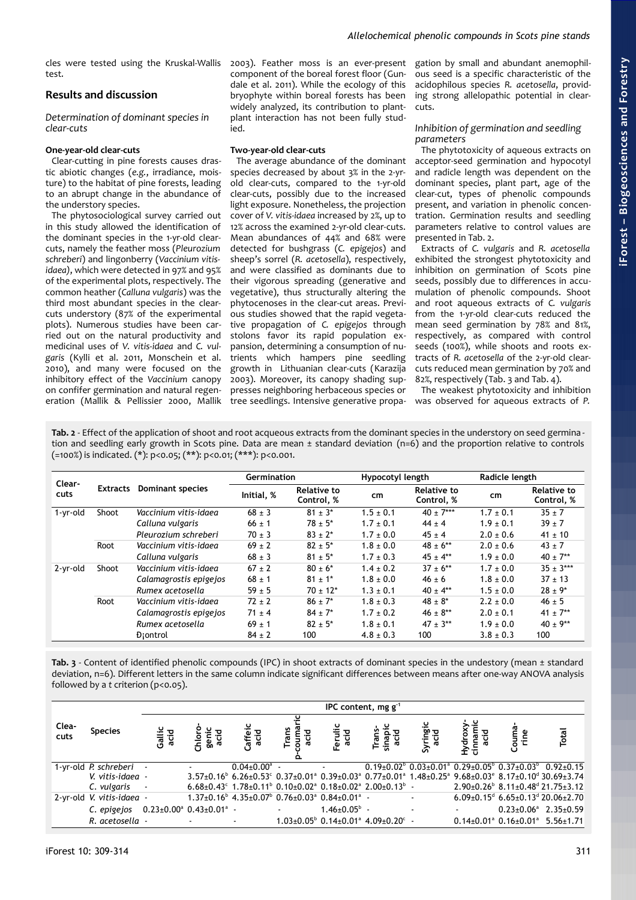cles were tested using the Kruskal-Wallis test.

# **Results and discussion**

*Determination of dominant species in clear-cuts*

### **One-year-old clear-cuts**

Clear-cutting in pine forests causes drastic abiotic changes (*e.g.*, irradiance, moisture) to the habitat of pine forests, leading to an abrupt change in the abundance of the understory species.

The phytosociological survey carried out in this study allowed the identification of the dominant species in the 1-yr-old clearcuts, namely the feather moss (*Pleurozium schreberi*) and lingonberry (*Vaccinium vitisidaea)*, which were detected in 97% and 95% of the experimental plots, respectively. The common heather (*Calluna vulgaris*) was the third most abundant species in the clearcuts understory (87% of the experimental plots). Numerous studies have been carried out on the natural productivity and medicinal uses of *V. vitis-idaea* and *C. vulgaris* (Kylli et al. 2011, Monschein et al. 2010), and many were focused on the inhibitory effect of the *Vaccinium* canopy on confifer germination and natural regeneration (Mallik & Pellissier 2000, Mallik

2003). Feather moss is an ever-present component of the boreal forest floor (Gundale et al. 2011). While the ecology of this bryophyte within boreal forests has been widely analyzed, its contribution to plantplant interaction has not been fully studied.

### **Two-year-old clear-cuts**

The average abundance of the dominant species decreased by about 3% in the 2-yrold clear-cuts, compared to the 1-yr-old clear-cuts, possibly due to the increased light exposure. Nonetheless, the projection cover of *V. vitis-idaea* increased by 2%, up to 12% across the examined 2-yr-old clear-cuts. Mean abundances of 44% and 68% were detected for bushgrass (*C. epigejos*) and sheep's sorrel (*R. acetosella*), respectively, and were classified as dominants due to their vigorous spreading (generative and vegetative), thus structurally altering the phytocenoses in the clear-cut areas. Previous studies showed that the rapid vegetative propagation of *C. epigejos* through stolons favor its rapid population expansion, determining a consumption of nutrients which hampers pine seedling growth in Lithuanian clear-cuts (Karazija 2003). Moreover, its canopy shading suppresses neighboring herbaceous species or tree seedlings. Intensive generative propa-

gation by small and abundant anemophilous seed is a specific characteristic of the acidophilous species *R. acetosella*, providing strong allelopathic potential in clearcuts.

### *Inhibition of germination and seedling parameters*

The phytotoxicity of aqueous extracts on acceptor-seed germination and hypocotyl and radicle length was dependent on the dominant species, plant part, age of the clear-cut, types of phenolic compounds present, and variation in phenolic concentration. Germination results and seedling parameters relative to control values are presented in [Tab. 2.](#page-2-1)

Extracts of *C. vulgaris* and *R. acetosella* exhibited the strongest phytotoxicity and inhibition on germination of Scots pine seeds, possibly due to differences in accumulation of phenolic compounds. Shoot and root aqueous extracts of *C. vulgaris* from the 1-yr-old clear-cuts reduced the mean seed germination by 78% and 81%, respectively, as compared with control seeds (100%), while shoots and roots extracts of *R. acetosella* of the 2-yr-old clearcuts reduced mean germination by 70% and 82%, respectively [\(Tab. 3](#page-2-0) and [Tab. 4\)](#page-3-0).

The weakest phytotoxicity and inhibition was observed for aqueous extracts of *P.*

<span id="page-2-1"></span>**Tab. 2** - Effect of the application of shoot and root acqueous extracts from the dominant species in the understory on seed germina tion and seedling early growth in Scots pine. Data are mean ± standard deviation (n=6) and the proportion relative to controls (=100%) is indicated. (\*): p<0.05; (\*\*): p<0.01; (\*\*\*): p<0.001.

| Clear-   |                 |                         | <b>Germination</b> |                                  | Hypocotyl length |                                  |               | Radicle length                   |  |  |
|----------|-----------------|-------------------------|--------------------|----------------------------------|------------------|----------------------------------|---------------|----------------------------------|--|--|
| cuts     | <b>Extracts</b> | <b>Dominant species</b> | Initial, %         | <b>Relative to</b><br>Control, % | cm               | <b>Relative to</b><br>Control, % | cm            | <b>Relative to</b><br>Control, % |  |  |
| 1-yr-old | Shoot           | Vaccinium vitis-idaea   | $68 \pm 3$         | $81 \pm 3^*$                     | $1.5 \pm 0.1$    | $40 + 7***$                      | $1.7 \pm 0.1$ | $35 + 7$                         |  |  |
|          |                 | Calluna vulgaris        | $66 \pm 1$         | $78 \pm 5^*$                     | $1.7 \pm 0.1$    | $44 \pm 4$                       | $1.9 \pm 0.1$ | $39 \pm 7$                       |  |  |
|          |                 | Pleurozium schreberi    | $70 \pm 3$         | $83 \pm 2^*$                     | $1.7 \pm 0.0$    | $45 \pm 4$                       | $2.0 \pm 0.6$ | $41 \pm 10$                      |  |  |
|          | Root            | Vaccinium vitis-idaea   | $69 \pm 2$         | $82 \pm 5^*$                     | $1.8 \pm 0.0$    | $48 + 6**$                       | $2.0 \pm 0.6$ | $43 \pm 7$                       |  |  |
|          |                 | Calluna vulgaris        | $68 \pm 3$         | $81 \pm 5^*$                     | $1.7 \pm 0.3$    | $45 + 4**$                       | $1.9 \pm 0.0$ | $40 \pm 7**$                     |  |  |
| 2-yr-old | Shoot           | Vaccinium vitis-idaea   | $67 \pm 2$         | $80 + 6*$                        | $1.4 \pm 0.2$    | $37 + 6**$                       | $1.7 \pm 0.0$ | $35 + 3***$                      |  |  |
|          |                 | Calamagrostis epigejos  | $68 \pm 1$         | $81 + 1*$                        | $1.8 \pm 0.0$    | $46 \pm 6$                       | $1.8 \pm 0.0$ | $37 + 13$                        |  |  |
|          |                 | Rumex acetosella        | $59 \pm 5$         | $70 \pm 12^*$                    | $1.3 \pm 0.1$    | $40 + 4**$                       | $1.5 \pm 0.0$ | $28 \pm 9^*$                     |  |  |
|          | Root            | Vaccinium vitis-idaea   | $72 + 2$           | $86 \pm 7^*$                     | $1.8 \pm 0.3$    | $48 \pm 8^*$                     | $2.2 \pm 0.0$ | $46 \pm 5$                       |  |  |
|          |                 | Calamagrostis epigejos  | $71 \pm 4$         | $84 + 7*$                        | $1.7 \pm 0.2$    | $46 \pm 8**$                     | $2.0 \pm 0.1$ | $41 \pm 7**$                     |  |  |
|          |                 | Rumex acetosella        | $69 \pm 1$         | $82 + 5*$                        | $1.8 \pm 0.1$    | $47 + 3**$                       | $1.9 \pm 0.0$ | $40 + 9**$                       |  |  |
|          |                 | Diontrol                | $84 \pm 2$         | 100                              | $4.8 \pm 0.3$    | 100                              | $3.8 \pm 0.3$ | 100                              |  |  |

<span id="page-2-0"></span>**Tab. 3** - Content of identified phenolic compounds (IPC) in shoot extracts of dominant species in the undestory (mean ± standard deviation, n=6). Different letters in the same column indicate significant differences between means after one-way ANOVA analysis followed by a *t* criterion (p<0.05).

|               | IPC content, mg $g^{-1}$  |                |                                                   |                           |                                                                                                                                         |                           |                                                                       |                  |                            |                                                                                                                                                                                                                                                 |       |
|---------------|---------------------------|----------------|---------------------------------------------------|---------------------------|-----------------------------------------------------------------------------------------------------------------------------------------|---------------------------|-----------------------------------------------------------------------|------------------|----------------------------|-------------------------------------------------------------------------------------------------------------------------------------------------------------------------------------------------------------------------------------------------|-------|
| Clea-<br>cuts | <b>Species</b>            | Gallic<br>acid | Chloro<br>genic<br>acid                           | Caffeic<br>acid           | Trans<br>ouma                                                                                                                           | Ferulic<br>acid           | Trans-<br>sinapic<br>acid                                             | Syringic<br>acid | Hydroxy<br>cinnami<br>acid | Couma<br>rine                                                                                                                                                                                                                                   | Total |
|               | 1-yr-old P. schreberi     | $\blacksquare$ |                                                   | $0.04 \pm 0.00^{\circ}$ - |                                                                                                                                         |                           |                                                                       |                  |                            | $0.19\pm0.02^{\circ}$ $0.03\pm0.01^{\circ}$ $0.29\pm0.05^{\circ}$ $0.37\pm0.03^{\circ}$ $0.92\pm0.15$                                                                                                                                           |       |
|               | V. vitis-idaea -          |                |                                                   |                           |                                                                                                                                         |                           |                                                                       |                  |                            | $3.57\pm0.16^{\circ}$ 6.26 $\pm$ 0.53 $^{\circ}$ 0.37 $\pm$ 0.01 <sup>a</sup> 0.39 $\pm$ 0.03 <sup>a</sup> 0.77 $\pm$ 0.01 <sup>a</sup> 1.48 $\pm$ 0.25 <sup>a</sup> 9.68 $\pm$ 0.03 <sup>e</sup> 8.17 $\pm$ 0.10 <sup>d</sup> 30.69 $\pm$ 3.74 |       |
|               | C. vulgaris               | $\blacksquare$ |                                                   |                           | $6.68 \pm 0.43$ ° 1.78 $\pm$ 0.11 <sup>b</sup> 0.10 $\pm$ 0.02 <sup>a</sup> 0.18 $\pm$ 0.02 <sup>a</sup> 2.00 $\pm$ 0.13 <sup>b</sup> - |                           |                                                                       |                  |                            | $2.90\pm0.26^{\circ}$ 8.11 $\pm0.48^{\circ}$ 21.75 $\pm3.12$                                                                                                                                                                                    |       |
|               | 2-yr-old V. vitis-idaea - |                |                                                   |                           | $1.37\pm0.16^{\circ}$ 4.35 $\pm0.07^{\circ}$ 0.76 $\pm0.03^{\circ}$ 0.84 $\pm0.01^{\circ}$ -                                            |                           |                                                                       | $\blacksquare$   |                            | $6.09 \pm 0.15^{d}$ 6.65 $\pm$ 0.13 <sup>d</sup> 20.06 $\pm$ 2.70                                                                                                                                                                               |       |
|               | C. epigejos               |                | $0.23 \pm 0.00^{\circ}$ $0.43 \pm 0.01^{\circ}$ - |                           |                                                                                                                                         | $1.46 \pm 0.05^{\circ}$ - |                                                                       |                  |                            | $0.23 \pm 0.06^{\circ}$ 2.35 $\pm 0.59$                                                                                                                                                                                                         |       |
|               | R. acetosella -           |                |                                                   |                           |                                                                                                                                         |                           | $1.03\pm0.05^{\circ}$ 0.14 $\pm0.01^{\circ}$ 4.09 $\pm0.20^{\circ}$ - |                  |                            | $0.14\pm0.01^{\circ}$ $0.16\pm0.01^{\circ}$ 5.56 $\pm1.71$                                                                                                                                                                                      |       |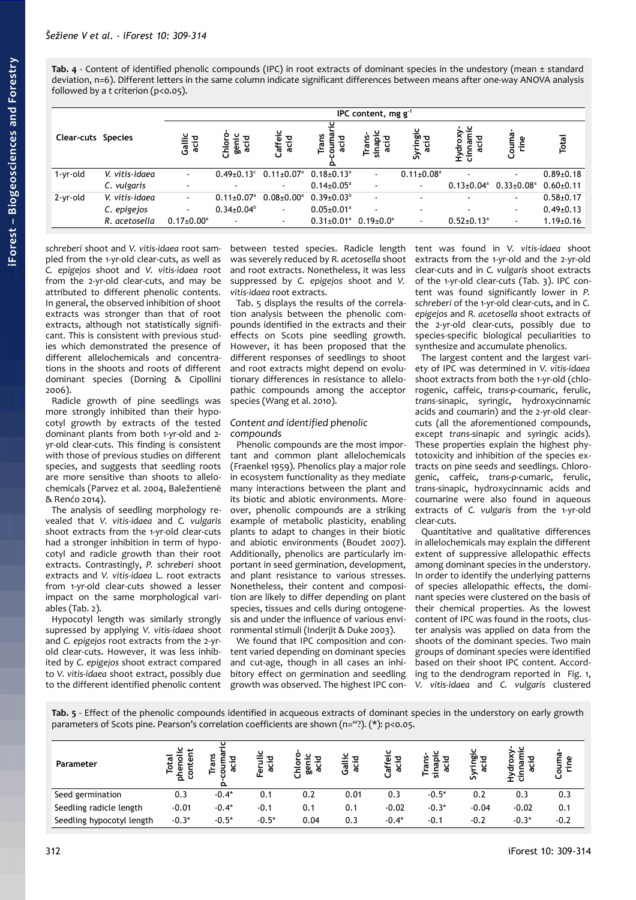<span id="page-3-0"></span>**Tab. 4** - Content of identified phenolic compounds (IPC) in root extracts of dominant species in the undestory (mean ± standard deviation, n=6). Different letters in the same column indicate significant differences between means after one-way ANOVA analysis followed by a *t* criterion (p<0.05).

|                           |                | IPC content, mg $g^{-1}$ |                              |                                     |                              |                          |                              |                              |                              |                 |  |  |
|---------------------------|----------------|--------------------------|------------------------------|-------------------------------------|------------------------------|--------------------------|------------------------------|------------------------------|------------------------------|-----------------|--|--|
| <b>Clear-cuts Species</b> |                | Gallic<br>acid           | geni<br>흐<br>5<br>្កក្ត      | Caffeic<br>acid                     | Trans<br>킁<br>≏              | ပ<br>sinapi<br>acid      | Syringic<br>acid             | ≅.<br>cinn.<br>ᅙ<br>f        | Courna<br>Φ                  | Total           |  |  |
| 1-yr-old                  | V. vitis-idaea | $\sim$                   | $0.49 \pm 0.13$ <sup>c</sup> | $0.11{\scriptstyle\pm0.07^{\rm a}}$ | $0.18{\pm}0.13^{\circ}$      | $\blacksquare$           | $0.11 \pm 0.08$ <sup>a</sup> |                              | $\sim$                       | $0.89 \pm 0.18$ |  |  |
|                           | C. vulgaris    | ٠                        |                              | $\sim$                              | $0.14 \pm 0.05^{\circ}$      |                          | $\blacksquare$               | $0.13 \pm 0.04$ <sup>a</sup> | $0.33 \pm 0.08$ <sup>a</sup> | $0.60 + 0.11$   |  |  |
| 2-yr-old                  | V. vitis-idaea | $\blacksquare$           | $0.11 \pm 0.07$ <sup>a</sup> | $0.08 \pm 0.00^{\rm a}$             | $0.39 \pm 0.03^{\circ}$      | $\blacksquare$           |                              | $\overline{\phantom{a}}$     | ۰.                           | $0.58 + 0.17$   |  |  |
|                           | C. epigejos    | $\sim$                   | $0.34 \pm 0.04^b$            | $\sim$                              | $0.05 \pm 0.01$ <sup>a</sup> | $\overline{\phantom{a}}$ |                              | $\overline{\phantom{a}}$     | $\sim$                       | $0.49 \pm 0.13$ |  |  |
|                           | R. acetosella  | $0.17 \pm 0.00^{\circ}$  |                              | $\sim$                              | $0.31 \pm 0.01$ <sup>a</sup> | $0.19 \pm 0.0^{\circ}$   | ٠                            | $0.52 \pm 0.13$ <sup>a</sup> | ٠                            | $1.19 \pm 0.16$ |  |  |

*schreberi* shoot and *V. vitis-idaea* root sampled from the 1-yr-old clear-cuts, as well as *C. epigejos* shoot and *V. vitis-idaea* root from the 2-yr-old clear-cuts, and may be attributed to different phenolic contents. In general, the observed inhibition of shoot extracts was stronger than that of root extracts, although not statistically significant. This is consistent with previous studies which demonstrated the presence of different allelochemicals and concentrations in the shoots and roots of different dominant species (Dorning & Cipollini 2006).

Radicle growth of pine seedlings was more strongly inhibited than their hypocotyl growth by extracts of the tested dominant plants from both 1-yr-old and 2 yr-old clear-cuts. This finding is consistent with those of previous studies on different species, and suggests that seedling roots are more sensitive than shoots to allelochemicals (Parvez et al. 2004, Baležentienė & Renćo 2014).

The analysis of seedling morphology revealed that *V. vitis-idaea* and *C. vulgaris* shoot extracts from the 1-yr-old clear-cuts had a stronger inhibition in term of hypocotyl and radicle growth than their root extracts. Contrastingly, *P. schreberi* shoot extracts and *V. vitis-idaea* L. root extracts from 1-yr-old clear-cuts showed a lesser impact on the same morphological variables [\(Tab. 2\)](#page-2-1).

Hypocotyl length was similarly strongly supressed by applying *V. vitis-idaea* shoot and *C. epigejos* root extracts from the 2-yrold clear-cuts. However, it was less inhibited by *C. epigejos* shoot extract compared to *V. vitis-idaea* shoot extract, possibly due to the different identified phenolic content

between tested species. Radicle length was severely reduced by *R. acetosella* shoot and root extracts. Nonetheless, it was less suppressed by *C. epigejos* shoot and *V. vitis-idaea* root extracts.

[Tab. 5](#page-3-1) displays the results of the correlation analysis between the phenolic compounds identified in the extracts and their effects on Scots pine seedling growth. However, it has been proposed that the different responses of seedlings to shoot and root extracts might depend on evolutionary differences in resistance to allelopathic compounds among the acceptor species (Wang et al. 2010).

### *Content and identified phenolic compounds*

Phenolic compounds are the most important and common plant allelochemicals (Fraenkel 1959). Phenolics play a major role in ecosystem functionality as they mediate many interactions between the plant and its biotic and abiotic environments. Moreover, phenolic compounds are a striking example of metabolic plasticity, enabling plants to adapt to changes in their biotic and abiotic environments (Boudet 2007). Additionally, phenolics are particularly important in seed germination, development, and plant resistance to various stresses. Nonetheless, their content and composition are likely to differ depending on plant species, tissues and cells during ontogenesis and under the influence of various environmental stimuli (Inderjit & Duke 2003).

We found that IPC composition and content varied depending on dominant species and cut-age, though in all cases an inhibitory effect on germination and seedling growth was observed. The highest IPC content was found in *V. vitis-idaea* shoot extracts from the 1-yr-old and the 2-yr-old clear-cuts and in *C. vulgaris* shoot extracts of the 1-yr-old clear-cuts [\(Tab. 3\)](#page-2-0). IPC content was found significantly lower in *P. schreberi* of the 1-yr-old clear-cuts, and in *C. epigejos* and *R. acetosella* shoot extracts of the 2-yr-old clear-cuts, possibly due to species-specific biological peculiarities to synthesize and accumulate phenolics.

The largest content and the largest variety of IPC was determined in *V. vitis-idaea* shoot extracts from both the 1-yr-old (chlorogenic, caffeic, *trans*-*ρ*-coumaric, ferulic, *trans*-sinapic, syringic, hydroxycinnamic acids and coumarin) and the 2-yr-old clearcuts (all the aforementioned compounds, except *trans*-sinapic and syringic acids). These properties explain the highest phytotoxicity and inhibition of the species extracts on pine seeds and seedlings. Chlorogenic, caffeic, *trans*-*ρ*-cumaric, ferulic, *trans*-sinapic, hydroxycinnamic acids and coumarine were also found in aqueous extracts of *C. vulgaris* from the 1-yr-old clear-cuts.

Quantitative and qualitative differences in allelochemicals may explain the different extent of suppressive allelopathic effects among dominant species in the understory. In order to identify the underlying patterns of species allelopathic effects, the dominant species were clustered on the basis of their chemical properties. As the lowest content of IPC was found in the roots, cluster analysis was applied on data from the shoots of the dominant species. Two main groups of dominant species were identified based on their shoot IPC content. According to the dendrogram reported in [Fig. 1,](#page-4-0) *V. vitis-idaea* and *C. vulgaris* clustered

<span id="page-3-1"></span>**Tab. 5** - Effect of the phenolic compounds identified in acqueous extracts of dominant species in the understory on early growth parameters of Scots pine. Pearson's correlation coefficients are shown (n="?). (\*): p<0.05.

| Parameter                 | ပ<br>ى<br>Total<br>৳<br>ᅕ | ပ<br>n<br>ਹ<br>ത<br>٥ | ပ<br>ō<br>ಗರ<br>ட | ಸ<br>စ္တ<br>동 | ᇃ<br>ಸ<br>σ<br>ပ | ᠋৽<br>ैढ<br>ಸ<br>ပ |         | . Бо<br>.,<br>ത<br>ທິ | ಹ<br><br>Ť. | Φ<br>U |
|---------------------------|---------------------------|-----------------------|-------------------|---------------|------------------|--------------------|---------|-----------------------|-------------|--------|
| Seed germination          | 0.3                       | $-0.4*$               | 0.1               | 0.2           | 0.01             | 0.3                | $-0.5*$ | 0.2                   | 0.3         | 0.3    |
| Seedling radicle length   | $-0.01$                   | $-0.4*$               | $-0.1$            | 0.1           | 0.1              | $-0.02$            | $-0.3*$ | $-0.04$               | $-0.02$     | 0.1    |
| Seedling hypocotyl length | $-0.3*$                   | $-0.5*$               | $-0.5*$           | 0.04          | 0.3              | $-0.4*$            | $-0.1$  | $-0.2$                | $-0.3*$     | $-0.2$ |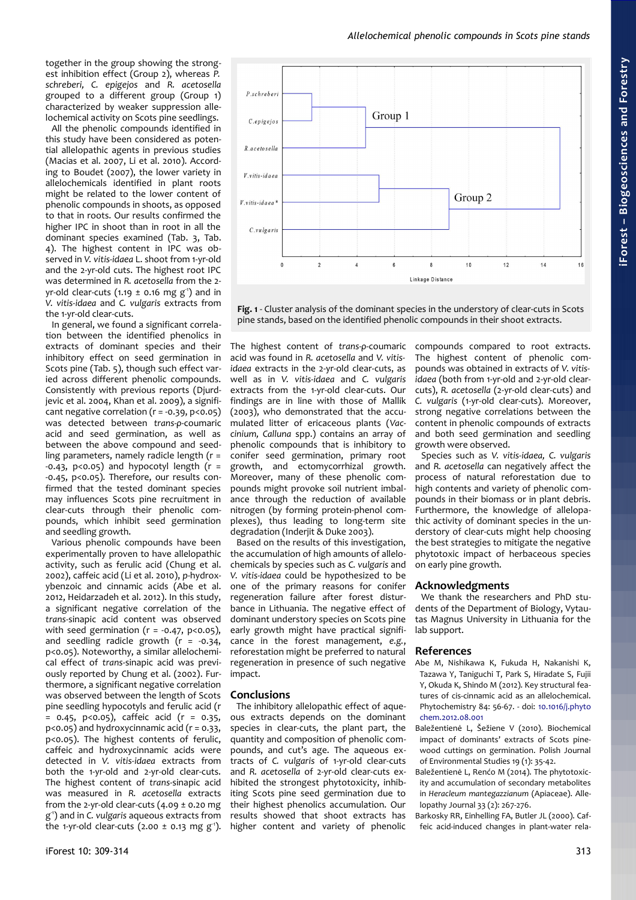## *Allelochemical phenolic compounds in Scots pine stands*

together in the group showing the strongest inhibition effect (Group 2), whereas *P. schreberi, C. epigejos* and *R. acetosella* grouped to a different group (Group 1) characterized by weaker suppression allelochemical activity on Scots pine seedlings.

All the phenolic compounds identified in this study have been considered as potential allelopathic agents in previous studies (Macias et al. 2007, Li et al. 2010). According to Boudet (2007), the lower variety in allelochemicals identified in plant roots might be related to the lower content of phenolic compounds in shoots, as opposed to that in roots. Our results confirmed the higher IPC in shoot than in root in all the dominant species examined [\(Tab. 3,](#page-2-0) [Tab.](#page-3-0) [4\)](#page-3-0). The highest content in IPC was observed in *V. vitis-idaea* L. shoot from 1-yr-old and the 2-yr-old cuts. The highest root IPC was determined in *R. acetosella* from the 2 yr-old clear-cuts (1.19  $\pm$  0.16 mg g<sup>-1</sup>) and in *V. vitis-idaea* and *C. vulgaris* extracts from the 1-yr-old clear-cuts.

In general, we found a significant correlation between the identified phenolics in extracts of dominant species and their inhibitory effect on seed germination in Scots pine [\(Tab. 5\)](#page-3-1), though such effect varied across different phenolic compounds. Consistently with previous reports (Djurdjevic et al. 2004, Khan et al. 2009), a significant negative correlation (r = -0.39, p<0.05) was detected between *trans*-*ρ*-coumaric acid and seed germination, as well as between the above compound and seedling parameters, namely radicle length (r =  $-0.43$ ,  $p<0.05$ ) and hypocotyl length ( $r =$ -0.45, p<0.05). Therefore, our results confirmed that the tested dominant species may influences Scots pine recruitment in clear-cuts through their phenolic compounds, which inhibit seed germination and seedling growth.

Various phenolic compounds have been experimentally proven to have allelopathic activity, such as ferulic acid (Chung et al. 2002), caffeic acid (Li et al. 2010), *p*-hydroxybenzoic and cinnamic acids (Abe et al. 2012, Heidarzadeh et al. 2012). In this study, a significant negative correlation of the *trans*-sinapic acid content was observed with seed germination ( $r = -0.47$ ,  $p < 0.05$ ), and seedling radicle growth  $(r = -0.34,$ p<0.05). Noteworthy, a similar allelochemical effect of *trans*-sinapic acid was previously reported by Chung et al. (2002). Furthermore, a significant negative correlation was observed between the length of Scots pine seedling hypocotyls and ferulic acid (r  $= 0.45, p < 0.05$ ), caffeic acid (r = 0.35,  $p$ <0.05) and hydroxycinnamic acid ( $r = 0.33$ , p<0.05). The highest contents of ferulic, caffeic and hydroxycinnamic acids were detected in *V. vitis-idaea* extracts from both the 1-yr-old and 2-yr-old clear-cuts. The highest content of *trans*-sinapic acid was measured in *R. acetosella* extracts from the 2-yr-old clear-cuts  $(4.09 \pm 0.20 \text{ mg})$ g -1) and in *C. vulgaris* aqueous extracts from the 1-yr-old clear-cuts (2.00  $\pm$  0.13 mg g<sup>-1</sup>).

The highest content of *trans*-*ρ*-coumaric acid was found in *R. acetosella* and *V. vitisidaea* extracts in the 2-yr-old clear-cuts, as well as in *V. vitis-idaea* and *C. vulgaris* extracts from the 1-yr-old clear-cuts. Our findings are in line with those of Mallik (2003), who demonstrated that the accumulated litter of ericaceous plants (*Vaccinium, Calluna* spp.) contains an array of phenolic compounds that is inhibitory to conifer seed germination, primary root growth, and ectomycorrhizal growth. Moreover, many of these phenolic compounds might provoke soil nutrient imbalance through the reduction of available nitrogen (by forming protein-phenol complexes), thus leading to long-term site degradation (Inderjit & Duke 2003).

Based on the results of this investigation, the accumulation of high amounts of allelochemicals by species such as *C. vulgaris* and *V. vitis-idaea* could be hypothesized to be one of the primary reasons for conifer regeneration failure after forest disturbance in Lithuania. The negative effect of dominant understory species on Scots pine early growth might have practical significance in the forest management, *e.g.*, reforestation might be preferred to natural regeneration in presence of such negative impact.

### **Conclusions**

The inhibitory allelopathic effect of aqueous extracts depends on the dominant species in clear-cuts, the plant part, the quantity and composition of phenolic compounds, and cut's age. The aqueous extracts of *C. vulgaris* of 1-yr-old clear-cuts and *R. acetosella* of 2-yr-old clear-cuts exhibited the strongest phytotoxicity, inhibiting Scots pine seed germination due to their highest phenolics accumulation. Our results showed that shoot extracts has higher content and variety of phenolic

compounds compared to root extracts. The highest content of phenolic compounds was obtained in extracts of *V. vitisidaea* (both from 1-yr-old and 2-yr-old clearcuts), *R. acetosella* (2-yr-old clear-cuts) and *C. vulgaris* (1-yr-old clear-cuts). Moreover, strong negative correlations between the content in phenolic compounds of extracts and both seed germination and seedling growth were observed.

Species such as *V. vitis-idaea, C. vulgaris* and *R. acetosella* can negatively affect the process of natural reforestation due to high contents and variety of phenolic compounds in their biomass or in plant debris. Furthermore, the knowledge of allelopathic activity of dominant species in the understory of clear-cuts might help choosing the best strategies to mitigate the negative phytotoxic impact of herbaceous species on early pine growth.

#### **Acknowledgments**

We thank the researchers and PhD students of the Department of Biology, Vytautas Magnus University in Lithuania for the lab support.

### **References**

Abe M, Nishikawa K, Fukuda H, Nakanishi K, Tazawa Y, Taniguchi T, Park S, Hiradate S, Fujii Y, Okuda K, Shindo M (2012). Key structural features of cis-cinnamic acid as an allelochemical. Phytochemistry 84: 56-67. - doi: [10.1016/j.phyto](http://dx.doi.org/10.1016/j.phytochem.2012.08.001) [chem.2012.08.001](http://dx.doi.org/10.1016/j.phytochem.2012.08.001)

Baležentienė L, Šežiene V (2010). Biochemical impact of dominants' extracts of Scots pinewood cuttings on germination. Polish Journal of Environmental Studies 19 (1): 35-42.

Baležentienė L, Renćo M (2014). The phytotoxicity and accumulation of secondary metabolites in *Heracleum mantegazzianum* (Apiaceae). Allelopathy Journal 33 (2): 267-276.

Barkosky RR, Einhelling FA, Butler JL (2000). Caffeic acid-induced changes in plant-water rela-



<span id="page-4-0"></span>**Fig. 1** - Cluster analysis of the dominant species in the understory of clear-cuts in Scots pine stands, based on the identified phenolic compounds in their shoot extracts.